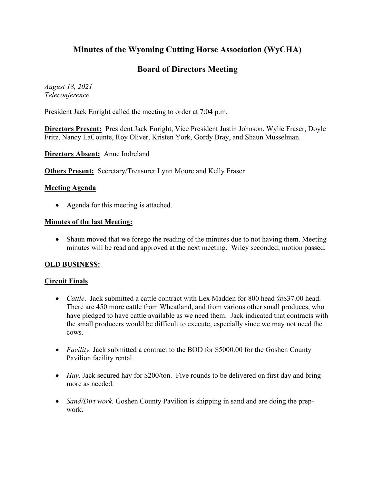# **Minutes of the Wyoming Cutting Horse Association (WyCHA)**

## **Board of Directors Meeting**

*August 18, 2021 Teleconference*

President Jack Enright called the meeting to order at 7:04 p.m.

**Directors Present:** President Jack Enright, Vice President Justin Johnson, Wylie Fraser, Doyle Fritz, Nancy LaCounte, Roy Oliver, Kristen York, Gordy Bray, and Shaun Musselman.

**Directors Absent:** Anne Indreland

**Others Present:** Secretary/Treasurer Lynn Moore and Kelly Fraser

#### **Meeting Agenda**

• Agenda for this meeting is attached.

#### **Minutes of the last Meeting:**

• Shaun moved that we forego the reading of the minutes due to not having them. Meeting minutes will be read and approved at the next meeting. Wiley seconded; motion passed.

### **OLD BUSINESS:**

### **Circuit Finals**

- *Cattle*. Jack submitted a cattle contract with Lex Madden for 800 head  $@$37.00$  head. There are 450 more cattle from Wheatland, and from various other small produces, who have pledged to have cattle available as we need them. Jack indicated that contracts with the small producers would be difficult to execute, especially since we may not need the cows.
- *Facility*. Jack submitted a contract to the BOD for \$5000.00 for the Goshen County Pavilion facility rental.
- *Hay*. Jack secured hay for \$200/ton. Five rounds to be delivered on first day and bring more as needed.
- *Sand/Dirt work.* Goshen County Pavilion is shipping in sand and are doing the prepwork.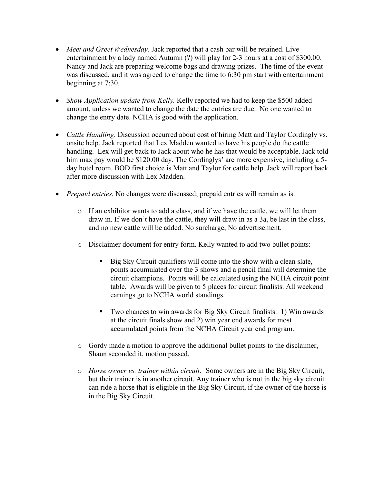- *Meet and Greet Wednesday.* Jack reported that a cash bar will be retained. Live entertainment by a lady named Autumn (?) will play for 2-3 hours at a cost of \$300.00. Nancy and Jack are preparing welcome bags and drawing prizes. The time of the event was discussed, and it was agreed to change the time to 6:30 pm start with entertainment beginning at 7:30.
- *Show Application update from Kelly.* Kelly reported we had to keep the \$500 added amount, unless we wanted to change the date the entries are due. No one wanted to change the entry date. NCHA is good with the application.
- *Cattle Handling*. Discussion occurred about cost of hiring Matt and Taylor Cordingly vs. onsite help. Jack reported that Lex Madden wanted to have his people do the cattle handling. Lex will get back to Jack about who he has that would be acceptable. Jack told him max pay would be \$120.00 day. The Cordinglys' are more expensive, including a 5day hotel room. BOD first choice is Matt and Taylor for cattle help. Jack will report back after more discussion with Lex Madden.
- *Prepaid entries.* No changes were discussed; prepaid entries will remain as is.
	- o If an exhibitor wants to add a class, and if we have the cattle, we will let them draw in. If we don't have the cattle, they will draw in as a 3a, be last in the class, and no new cattle will be added. No surcharge, No advertisement.
	- o Disclaimer document for entry form. Kelly wanted to add two bullet points:
		- Big Sky Circuit qualifiers will come into the show with a clean slate, points accumulated over the 3 shows and a pencil final will determine the circuit champions. Points will be calculated using the NCHA circuit point table. Awards will be given to 5 places for circuit finalists. All weekend earnings go to NCHA world standings.
		- Two chances to win awards for Big Sky Circuit finalists. 1) Win awards at the circuit finals show and 2) win year end awards for most accumulated points from the NCHA Circuit year end program.
	- o Gordy made a motion to approve the additional bullet points to the disclaimer, Shaun seconded it, motion passed.
	- o *Horse owner vs. trainer within circuit:* Some owners are in the Big Sky Circuit, but their trainer is in another circuit. Any trainer who is not in the big sky circuit can ride a horse that is eligible in the Big Sky Circuit, if the owner of the horse is in the Big Sky Circuit.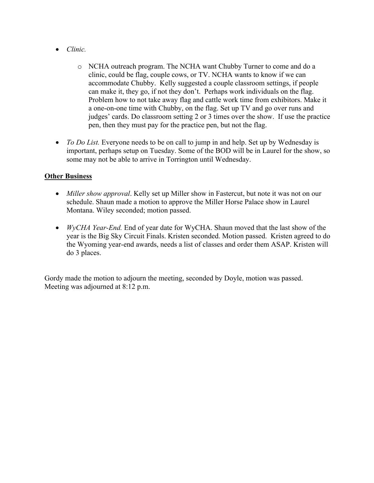- *Clinic.*
	- o NCHA outreach program. The NCHA want Chubby Turner to come and do a clinic, could be flag, couple cows, or TV. NCHA wants to know if we can accommodate Chubby. Kelly suggested a couple classroom settings, if people can make it, they go, if not they don't. Perhaps work individuals on the flag. Problem how to not take away flag and cattle work time from exhibitors. Make it a one-on-one time with Chubby, on the flag. Set up TV and go over runs and judges' cards. Do classroom setting 2 or 3 times over the show. If use the practice pen, then they must pay for the practice pen, but not the flag.
- *To Do List.* Everyone needs to be on call to jump in and help. Set up by Wednesday is important, perhaps setup on Tuesday. Some of the BOD will be in Laurel for the show, so some may not be able to arrive in Torrington until Wednesday.

#### **Other Business**

- *Miller show approval*. Kelly set up Miller show in Fastercut, but note it was not on our schedule. Shaun made a motion to approve the Miller Horse Palace show in Laurel Montana. Wiley seconded; motion passed.
- *WyCHA Year-End.* End of year date for WyCHA. Shaun moved that the last show of the year is the Big Sky Circuit Finals. Kristen seconded. Motion passed. Kristen agreed to do the Wyoming year-end awards, needs a list of classes and order them ASAP. Kristen will do 3 places.

Gordy made the motion to adjourn the meeting, seconded by Doyle, motion was passed. Meeting was adjourned at 8:12 p.m.